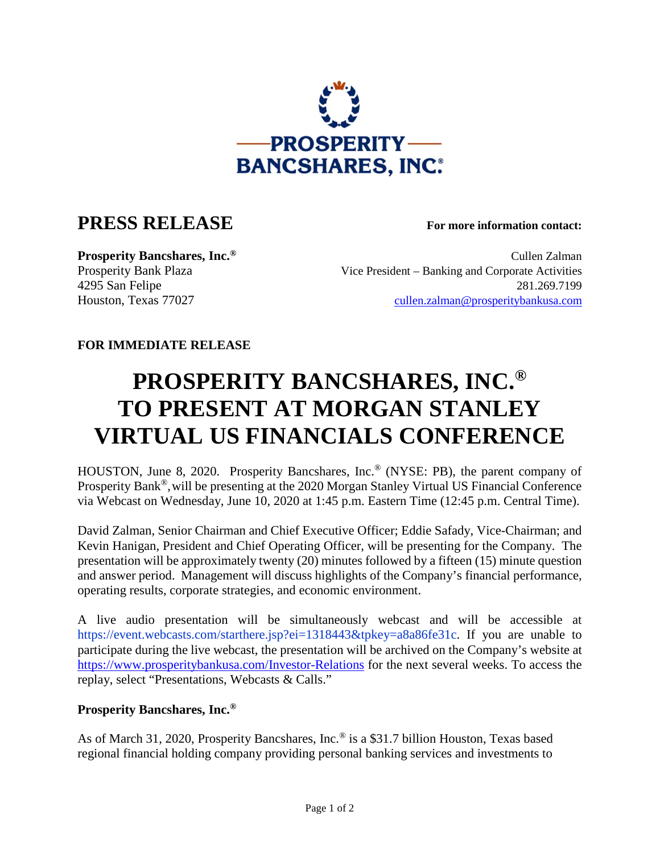

## **PRESS RELEASE For more information contact:**

**Prosperity Bancshares, Inc.<sup>®</sup> Cullen Zalman** Prosperity Bank Plaza Vice President – Banking and Corporate Activities 4295 San Felipe 281.269.7199 Houston, Texas 77027 [cullen.zalman@prosperitybankusa.com](mailto:cullen.zalman@prosperitybankusa.com)

## **FOR IMMEDIATE RELEASE**

## **PROSPERITY BANCSHARES, INC.® TO PRESENT AT MORGAN STANLEY VIRTUAL US FINANCIALS CONFERENCE**

HOUSTON, June 8, 2020. Prosperity Bancshares, Inc.® (NYSE: PB), the parent company of Prosperity Bank®,will be presenting at the 2020 Morgan Stanley Virtual US Financial Conference via Webcast on Wednesday, June 10, 2020 at 1:45 p.m. Eastern Time (12:45 p.m. Central Time).

David Zalman, Senior Chairman and Chief Executive Officer; Eddie Safady, Vice-Chairman; and Kevin Hanigan, President and Chief Operating Officer, will be presenting for the Company. The presentation will be approximately twenty (20) minutes followed by a fifteen (15) minute question and answer period. Management will discuss highlights of the Company's financial performance, operating results, corporate strategies, and economic environment.

A live audio presentation will be simultaneously webcast and will be accessible at [https://event.webcasts.com/starthere.jsp?ei=1318443&tpkey=a8a86fe31c.](https://event.webcasts.com/starthere.jsp?ei=1318443&tpkey=a8a86fe31c) If you are unable to participate during the live webcast, the presentation will be archived on the Company's website at <https://www.prosperitybankusa.com/Investor-Relations> for the next several weeks. To access the replay, select "Presentations, Webcasts & Calls."

## **Prosperity Bancshares, Inc.®**

As of March 31, 2020, Prosperity Bancshares, Inc.® is a \$31.7 billion Houston, Texas based regional financial holding company providing personal banking services and investments to